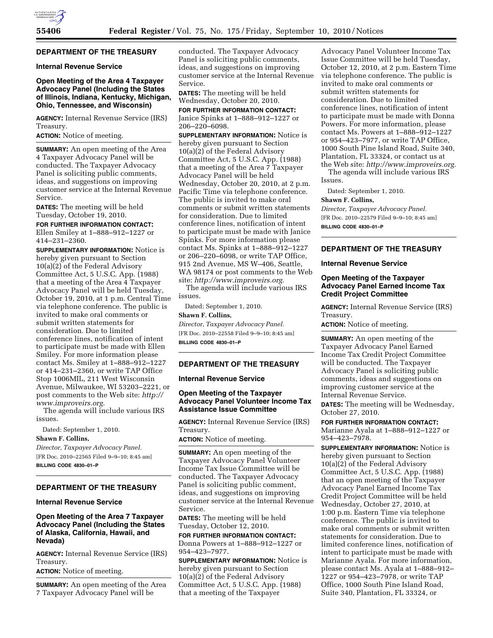# **DEPARTMENT OF THE TREASURY**

### **Internal Revenue Service**

# **Open Meeting of the Area 4 Taxpayer Advocacy Panel (Including the States of Illinois, Indiana, Kentucky, Michigan, Ohio, Tennessee, and Wisconsin)**

**AGENCY:** Internal Revenue Service (IRS) Treasury.

**ACTION:** Notice of meeting.

**SUMMARY:** An open meeting of the Area 4 Taxpayer Advocacy Panel will be conducted. The Taxpayer Advocacy Panel is soliciting public comments, ideas, and suggestions on improving customer service at the Internal Revenue Service.

**DATES:** The meeting will be held Tuesday, October 19, 2010.

**FOR FURTHER INFORMATION CONTACT:**  Ellen Smiley at 1–888–912–1227 or 414–231–2360.

**SUPPLEMENTARY INFORMATION:** Notice is hereby given pursuant to Section 10(a)(2) of the Federal Advisory Committee Act, 5 U.S.C. App. (1988) that a meeting of the Area 4 Taxpayer Advocacy Panel will be held Tuesday, October 19, 2010, at 1 p.m. Central Time via telephone conference. The public is invited to make oral comments or submit written statements for consideration. Due to limited conference lines, notification of intent to participate must be made with Ellen Smiley. For more information please contact Ms. Smiley at 1–888–912–1227 or 414–231–2360, or write TAP Office Stop 1006MIL, 211 West Wisconsin Avenue, Milwaukee, WI 53203–2221, or post comments to the Web site: *[http://](http://www.improveirs.org)  [www.improveirs.org.](http://www.improveirs.org)* 

The agenda will include various IRS issues.

Dated: September 1, 2010.

**Shawn F. Collins,** 

*Director, Taxpayer Advocacy Panel.*  [FR Doc. 2010–22565 Filed 9–9–10; 8:45 am] **BILLING CODE 4830–01–P** 

# **DEPARTMENT OF THE TREASURY**

### **Internal Revenue Service**

# **Open Meeting of the Area 7 Taxpayer Advocacy Panel (Including the States of Alaska, California, Hawaii, and Nevada)**

**AGENCY:** Internal Revenue Service (IRS) Treasury.

**ACTION:** Notice of meeting.

**SUMMARY:** An open meeting of the Area 7 Taxpayer Advocacy Panel will be

conducted. The Taxpayer Advocacy Panel is soliciting public comments, ideas, and suggestions on improving customer service at the Internal Revenue Service.

**DATES:** The meeting will be held Wednesday, October 20, 2010.

**FOR FURTHER INFORMATION CONTACT:**  Janice Spinks at 1–888–912–1227 or 206–220–6098.

**SUPPLEMENTARY INFORMATION:** Notice is hereby given pursuant to Section 10(a)(2) of the Federal Advisory Committee Act, 5 U.S.C. App. (1988) that a meeting of the Area 7 Taxpayer Advocacy Panel will be held Wednesday, October 20, 2010, at 2 p.m. Pacific Time via telephone conference. The public is invited to make oral comments or submit written statements for consideration. Due to limited conference lines, notification of intent to participate must be made with Janice Spinks. For more information please contact Ms. Spinks at 1–888–912–1227 or 206–220–6098, or write TAP Office, 915 2nd Avenue, MS W–406, Seattle, WA 98174 or post comments to the Web site: *[http://www.improveirs.org.](http://www.improveirs.org)* 

The agenda will include various IRS issues.

Dated: September 1, 2010.

**Shawn F. Collins,** 

*Director, Taxpayer Advocacy Panel.*  [FR Doc. 2010–22558 Filed 9–9–10; 8:45 am] **BILLING CODE 4830–01–P** 

#### **DEPARTMENT OF THE TREASURY**

### **Internal Revenue Service**

### **Open Meeting of the Taxpayer Advocacy Panel Volunteer Income Tax Assistance Issue Committee**

**AGENCY:** Internal Revenue Service (IRS) Treasury.

**ACTION:** Notice of meeting.

**SUMMARY:** An open meeting of the Taxpayer Advocacy Panel Volunteer Income Tax Issue Committee will be conducted. The Taxpayer Advocacy Panel is soliciting public comment, ideas, and suggestions on improving customer service at the Internal Revenue Service.

**DATES:** The meeting will be held Tuesday, October 12, 2010.

**FOR FURTHER INFORMATION CONTACT:**  Donna Powers at 1–888–912–1227 or 954–423–7977.

**SUPPLEMENTARY INFORMATION:** Notice is hereby given pursuant to Section 10(a)(2) of the Federal Advisory Committee Act, 5 U.S.C. App. (1988) that a meeting of the Taxpayer

Advocacy Panel Volunteer Income Tax Issue Committee will be held Tuesday, October 12, 2010, at 2 p.m. Eastern Time via telephone conference. The public is invited to make oral comments or submit written statements for consideration. Due to limited conference lines, notification of intent to participate must be made with Donna Powers. For more information, please contact Ms. Powers at 1–888–912–1227 or 954–423–7977, or write TAP Office, 1000 South Pine Island Road, Suite 340, Plantation, FL 33324, or contact us at the Web site: *[http://www.improveirs.org.](http://www.improveirs.org)* 

The agenda will include various IRS Issues.

Dated: September 1, 2010.

### **Shawn F. Collins,**

*Director, Taxpayer Advocacy Panel.*  [FR Doc. 2010–22579 Filed 9–9–10; 8:45 am] **BILLING CODE 4830–01–P** 

# **DEPARTMENT OF THE TREASURY**

#### **Internal Revenue Service**

### **Open Meeting of the Taxpayer Advocacy Panel Earned Income Tax Credit Project Committee**

**AGENCY:** Internal Revenue Service (IRS) Treasury.

**ACTION:** Notice of meeting.

**SUMMARY:** An open meeting of the Taxpayer Advocacy Panel Earned Income Tax Credit Project Committee will be conducted. The Taxpayer Advocacy Panel is soliciting public comments, ideas and suggestions on improving customer service at the Internal Revenue Service.

**DATES:** The meeting will be Wednesday, October 27, 2010.

**FOR FURTHER INFORMATION CONTACT:**  Marianne Ayala at 1–888–912–1227 or 954–423–7978.

**SUPPLEMENTARY INFORMATION:** Notice is hereby given pursuant to Section 10(a)(2) of the Federal Advisory Committee Act, 5 U.S.C. App. (1988) that an open meeting of the Taxpayer Advocacy Panel Earned Income Tax Credit Project Committee will be held Wednesday, October 27, 2010, at 1:00 p.m. Eastern Time via telephone conference. The public is invited to make oral comments or submit written statements for consideration. Due to limited conference lines, notification of intent to participate must be made with Marianne Ayala. For more information, please contact Ms. Ayala at 1–888–912– 1227 or 954–423–7978, or write TAP Office, 1000 South Pine Island Road, Suite 340, Plantation, FL 33324, or